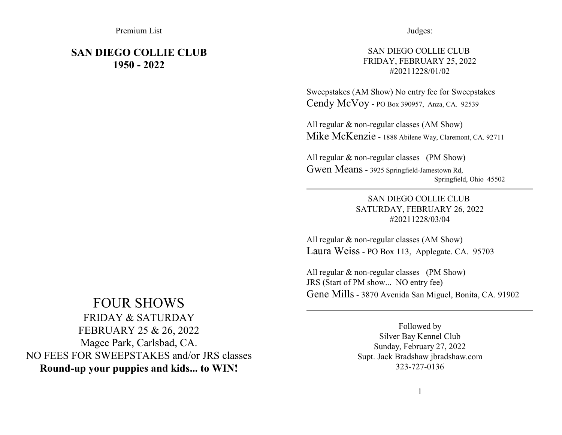Premium List

# **SAN DIEGO COLLIE CLUB 1950 - 2022**

### Judges:

### SAN DIEGO COLLIE CLUB FRIDAY, FEBRUARY 25, 2022 #20211228/01/02

Sweepstakes (AM Show) No entry fee for Sweepstakes Cendy McVoy - PO Box 390957, Anza, CA. 92539

All regular & non-regular classes (AM Show) Mike McKenzie - 1888 Abilene Way, Claremont, CA. 92711

All regular & non-regular classes (PM Show) Gwen Means - 3925 Springfield-Jamestown Rd, Springfield, Ohio 45502

> SAN DIEGO COLLIE CLUB SATURDAY, FEBRUARY 26, 2022 #20211228/03/04

All regular & non-regular classes (AM Show) Laura Weiss - PO Box 113, Applegate. CA. 95703

All regular & non-regular classes (PM Show) JRS (Start of PM show... NO entry fee) Gene Mills - 3870 Avenida San Miguel, Bonita, CA. 91902

# FOUR SHOWS

FRIDAY & SATURDAY FEBRUARY 25 & 26, 2022 Magee Park, Carlsbad, CA. NO FEES FOR SWEEPSTAKES and/or JRS classes **Round-up your puppies and kids... to WIN!**

Followed by Silver Bay Kennel Club Sunday, February 27, 2022 Supt. Jack Bradshaw jbradshaw.com 323-727-0136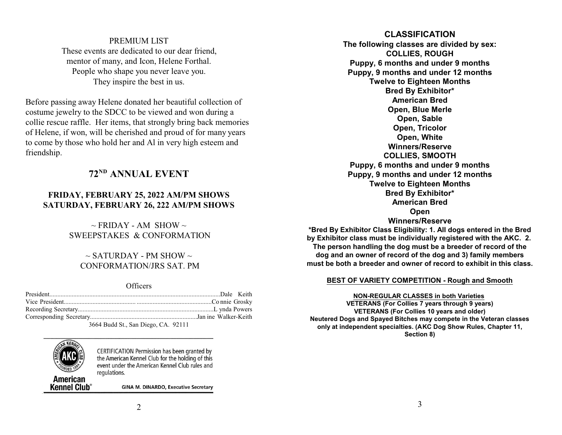### PREMIUM LIST

These events are dedicated to our dear friend, mentor of many, and Icon, Helene Forthal. People who shape you never leave you. They inspire the best in us.

Before passing away Helene donated her beautiful collection of costume jewelry to the SDCC to be viewed and won during a collie rescue raffle. Her items, that strongly bring back memories of Helene, if won, will be cherished and proud of for many years to come by those who hold her and Al in very high esteem and friendship.

## **72 ND ANNUAL EVENT**

### **FRIDAY, FEBRUARY 25, 2022 AM/PM SHOWS SATURDAY, FEBRUARY 26, 222 AM/PM SHOWS**

 $\sim$  FRIDAY - AM SHOW  $\sim$ SWEEPSTAKES & CONFORMATION

### $\sim$  SATURDAY - PM SHOW  $\sim$ CONFORMATION/JRS SAT. PM

**Officers** 

| $2664 \text{ Pa} \cdot 33 \text{ Pa}$ $\text{G}_{22}$ $\text{D}_{222}$ $\text{G}_{3}$ $\text{O}_{2}$ $\text{O}_{2}$ |  |
|---------------------------------------------------------------------------------------------------------------------|--|

3664 Budd St., San Diego, CA. 92111



American Kennel Club<sup>®</sup>

CERTIFICATION Permission has been granted by the American Kennel Club for the holding of this event under the American Kennel Club rules and regulations.

**GINA M. DINARDO, Executive Secretary** 

### **CLASSIFICATION**

**The following classes are divided by sex: COLLIES, ROUGH Puppy, 6 months and under 9 months Puppy, 9 months and under 12 months Twelve to Eighteen Months Bred By Exhibitor\* American Bred Open, Blue Merle Open, Sable Open, Tricolor Open, White Winners/Reserve COLLIES, SMOOTH Puppy, 6 months and under 9 months Puppy, 9 months and under 12 months Twelve to Eighteen Months Bred By Exhibitor\* American Bred Open Winners/Reserve**

**\*Bred By Exhibitor Class Eligibility: 1. All dogs entered in the Bred by Exhibitor class must be individually registered with the AKC. 2. The person handling the dog must be a breeder of record of the dog and an owner of record of the dog and 3) family members must be both a breeder and owner of record to exhibit in this class.**

#### **BEST OF VARIETY COMPETITION - Rough and Smooth**

**NON-REGULAR CLASSES in both Varieties VETERANS (For Collies 7 years through 9 years) VETERANS (For Collies 10 years and older) Neutered Dogs and Spayed Bitches may compete in the Veteran classes only at independent specialties. (AKC Dog Show Rules, Chapter 11, Section 8)**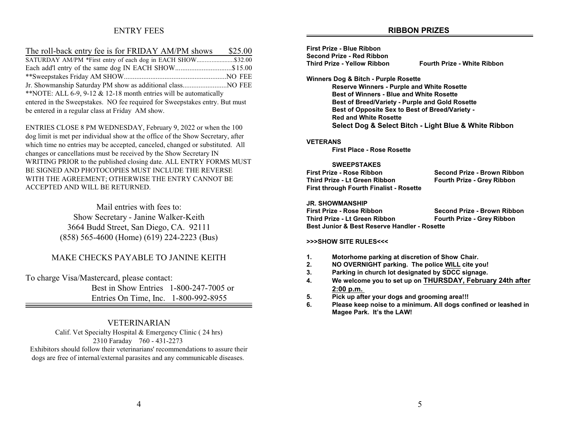### ENTRY FEES

### **RIBBON PRIZES**

| The roll-back entry fee is for FRIDAY AM/PM shows \$25.00                   |  |
|-----------------------------------------------------------------------------|--|
| SATURDAY AM/PM *First entry of each dog in EACH SHOW\$32.00                 |  |
| Each add'l entry of the same dog IN EACH SHOW\$15.00                        |  |
|                                                                             |  |
|                                                                             |  |
| **NOTE: ALL 6-9, 9-12 & 12-18 month entries will be automatically           |  |
| entered in the Sweepstakes. NO fee required for Sweepstakes entry. But must |  |
| be entered in a regular class at Friday AM show.                            |  |

ENTRIES CLOSE 8 PM WEDNESDAY, February 9, 2022 or when the 100 dog limit is met per individual show at the office of the Show Secretary, after which time no entries may be accepted, canceled, changed or substituted. All changes or cancellations must be received by the Show Secretary IN WRITING PRIOR to the published closing date. ALL ENTRY FORMS MUST BE SIGNED AND PHOTOCOPIES MUST INCLUDE THE REVERSE WITH THE AGREEMENT; OTHERWISE THE ENTRY CANNOT BE ACCEPTED AND WILL BE RETURNED.

> Mail entries with fees to: Show Secretary - Janine Walker-Keith 3664 Budd Street, San Diego, CA. 92111 (858) 565-4600 (Home) (619) 224-2223 (Bus)

### MAKE CHECKS PAYABLE TO JANINE KEITH

To charge Visa/Mastercard, please contact:

 Best in Show Entries 1-800-247-7005 or Entries On Time, Inc. 1-800-992-8955

### VETERINARIAN

Calif. Vet Specialty Hospital & Emergency Clinic ( 24 hrs) 2310 Faraday 760 - 431-2273 Exhibitors should follow their veterinarians' recommendations to assure their dogs are free of internal/external parasites and any communicable diseases.

| First Prize - Blue Ribbon                         |                                                        |
|---------------------------------------------------|--------------------------------------------------------|
| Second Prize - Red Ribbon                         |                                                        |
| <b>Third Prize - Yellow Ribbon</b>                | <b>Fourth Prize - White Ribbon</b>                     |
| Winners Dog & Bitch - Purple Rosette              |                                                        |
| <b>Reserve Winners - Purple and White Rosette</b> |                                                        |
| <b>Best of Winners - Blue and White Rosette</b>   |                                                        |
|                                                   | <b>Best of Breed/Variety - Purple and Gold Rosette</b> |
|                                                   | <b>Best of Opposite Sex to Best of Breed/Variety -</b> |
| <b>Red and White Rosette</b>                      |                                                        |
|                                                   | Select Dog & Select Bitch - Light Blue & White Ribbon  |
|                                                   |                                                        |

#### **VETERANS**

**First Place - Rose Rosette**

#### **SWEEPSTAKES**

| First Prize - Rose Ribbon               | Second Prize - Brown Ribbon       |
|-----------------------------------------|-----------------------------------|
| Third Prize - Lt Green Ribbon           | <b>Fourth Prize - Grey Ribbon</b> |
| First through Fourth Finalist - Rosette |                                   |

#### **JR. SHOWMANSHIP**

**First Prize - Rose Ribbon Second Prize - Brown Ribbon Third Prize - Lt Green Ribbon Fourth Prize - Grey Ribbon Best Junior & Best Reserve Handler - Rosette**

#### **>>>SHOW SITE RULES<<<**

- **1. Motorhome parking at discretion of Show Chair.**
- **2. NO OVERNIGHT parking. The police WILL cite you!**
- **3. Parking in church lot designated by SDCC signage.**
- **4. We welcome you to set up on THURSDAY, February 24th after 2:00 p.m.**
- **5. Pick up after your dogs and grooming area!!!**
- **6. Please keep noise to a minimum. All dogs confined or leashed in Magee Park. It's the LAW!**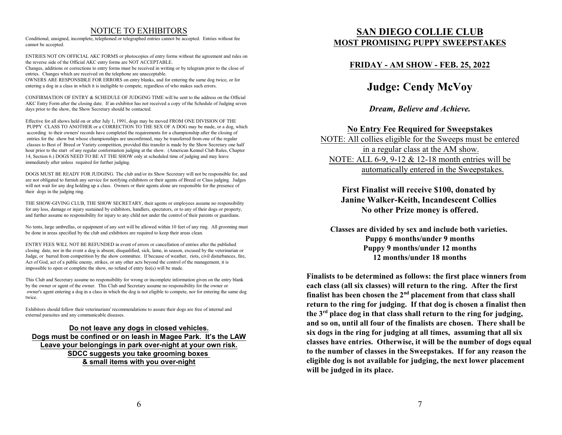### NOTICE TO EXHIBITORS

Conditional, unsigned, incomplete, telephoned or telegraphed entries cannot be accepted. Entries without fee cannot be accepted.

ENTRIES NOT ON OFFICIAL AKC FORMS or photocopies of entry forms without the agreement and rules on the reverse side of the Official AKC entry forms are NOT ACCEPTABLE.

Changes, additions or corrections to entry forms must be received in writing or by telegram prior to the close of entries. Changes which are received on the telephone are unacceptable.

OWNERS ARE RESPONSIBLE FOR ERRORS on entry blanks, and for entering the same dog twice, or for entering a dog in a class in which it is ineligible to compete, regardless of who makes such errors.

CONFIRMATION OF ENTRY & SCHEDULE OF JUDGING TIME will be sent to the address on the Official AKC Entry Form after the closing date. If an exhibitor has not received a copy of the Schedule of Judging seven days prior to the show, the Show Secretary should be contacted.

Effective for all shows held on or after July 1, 1991, dogs may be moved FROM ONE DIVISION OF THE PUPPY CLASS TO ANOTHER or a CORRECTION TO THE SEX OF A DOG may be made, or a dog, which according to their owners' records have completed the requirements for a championship after the closing of entries for the show but whose championships are unconfirmed, may be transferred from one of the regular classes to Best of Breed or Variety competition, provided this transfer is made by the Show Secretary one half hour prior to the start of any regular conformation judging at the show. (American Kennel Club Rules, Chapter 14, Section 6.) DOGS NEED TO BE AT THE SHOW only at scheduled time of judging and may leave immediately after unless required for further judging.

DOGS MUST BE READY FOR JUDGING. The club and/or its Show Secretary will not be responsible for, and are not obligated to furnish any service for notifying exhibitors or their agents of Breed or Class judging. Judges will not wait for any dog holding up a class. Owners or their agents alone are responsible for the presence of their dogs in the judging ring.

THE SHOW-GIVING CLUB, THE SHOW SECRETARY, their agents or employees assume no responsibility for any loss, damage or injury sustained by exhibitors, handlers, spectators, or to any of their dogs or property, and further assume no responsibility for injury to any child not under the control of their parents or guardians.

No tents, large umbrellas, or equipment of any sort will be allowed within 10 feet of any ring. All grooming must be done in areas specified by the club and exhibitors are required to keep their areas clean.

ENTRY FEES WILL NOT BE REFUNDED in event of errors or cancellation of entries after the published closing date, nor in the event a dog is absent, disqualified, sick, lame, in season, excused by the veterinarian or Judge, or barred from competition by the show committee. If because of weather, riots, civil disturbances, fire, Act of God, act of a public enemy, strikes, or any other acts beyond the control of the management, it is impossible to open or complete the show, no refund of entry fee(s) will be made.

This Club and Secretary assume no responsibility for wrong or incomplete information given on the entry blank by the owner or agent of the owner. This Club and Secretary assume no responsibility for the owner or owner's agent entering a dog in a class in which the dog is not eligible to compete, nor for entering the same dog twice.

Exhibitors should follow their veterinarians' recommendations to assure their dogs are free of internal and external parasites and any communicable diseases.

**Do not leave any dogs in closed vehicles. Dogs must be confined or on leash in Magee Park. It's the LAW Leave your belongings in park over-night at your own risk. SDCC suggests you take grooming boxes & small items with you over-night**

## **SAN DIEGO COLLIE CLUB MOST PROMISING PUPPY SWEEPSTAKES**

### **FRIDAY - AM SHOW - FEB. 25, 2022**

# **Judge: Cendy McVoy**

*Dream, Believe and Achieve.*

### **No Entry Fee Required for Sweepstakes**

NOTE: All collies eligible for the Sweeps must be entered in a regular class at the AM show. NOTE: ALL 6-9, 9-12 & 12-18 month entries will be automatically entered in the Sweepstakes.

> **First Finalist will receive \$100, donated by Janine Walker-Keith, Incandescent Collies No other Prize money is offered.**

**Classes are divided by sex and include both varieties. Puppy 6 months/under 9 months Puppy 9 months/under 12 months 12 months/under 18 months**

**Finalists to be determined as follows: the first place winners from each class (all six classes) will return to the ring. After the first finalist has been chosen the 2nd placement from that class shall return to the ring for judging. If that dog is chosen a finalist then the 3rd place dog in that class shall return to the ring for judging, and so on, until all four of the finalists are chosen. There shall be six dogs in the ring for judging at all times, assuming that all six classes have entries. Otherwise, it will be the number of dogs equal to the number of classes in the Sweepstakes. If for any reason the eligible dog is not available for judging, the next lower placement will be judged in its place.**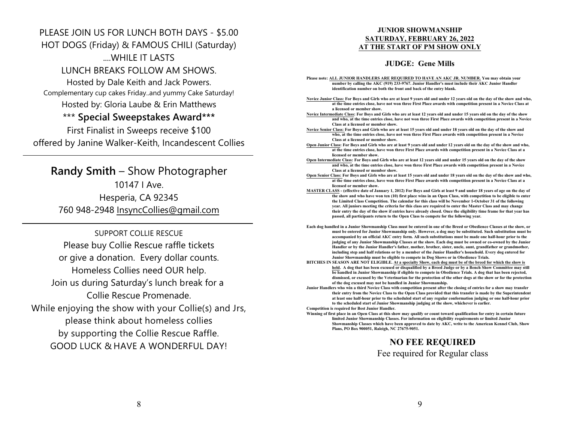# PLEASE JOIN US FOR LUNCH BOTH DAYS - \$5.00 HOT DOGS (Friday) & FAMOUS CHILI (Saturday) WHILE IT LASTS LUNCH BREAKS FOLLOW AM SHOWS. Hosted by Dale Keith and Jack Powers. Complementary cup cakes Friday..and yummy Cake Saturday! Hosted by: Gloria Laube & Erin Matthews \*\*\* **Special Sweepstakes Award\*\*\*** First Finalist in Sweeps receive \$100 offered by Janine Walker-Keith, Incandescent Collies

**Randy Smith** – Show Photographer 10147 I Ave. Hesperia, CA 92345 760 948-2948 InsyncCollies@gmail.com

SUPPORT COLLIE RESCUE Please buy Collie Rescue raffle tickets or give a donation. Every dollar counts. Homeless Collies need OUR help. Join us during Saturday's lunch break for a Collie Rescue Promenade. *While enjoying the show with your Collie(s) and Jrs, please think about homeless collies by supporting the Collie Rescue Raffle. GOOD LUCK & HAVE A WONDERFUL DAY!*

### **JUNIOR SHOWMANSHIP SATURDAY, FEBRUARY 26, 2022 AT THE START OF PM SHOW ONLY**

### **JUDGE: Gene Mills**

- **Please note: ALL JUNIOR HANDLERS ARE REQUIRED TO HAVE AN AKC JR. NUMBER. You may obtain your number by calling the AKC (919) 233-9767. Junior Handler's must include their AKC Junior Handler identification number on both the front and back of the entry blank.**
- **Novice Junior Class: For Boys and Girls who are at least 9 years old and under 12 years old on the day of the show and who, at the time entries close, have not won three First Place awards with competition present in a Novice Class at a licensed or member show.**
- **Novice Intermediate Class: For Boys and Girls who are at least 12 years old and under 15 years old on the day of the show and who, at the time entries close, have not won three First Place awards with competition present in a Novice Class at a licensed or member show.**
- **Novice Senior Class: For Boys and Girls who are at least 15 years old and under 18 years old on the day of the show and who, at the time entries close, have not won three First Place awards with competition present in a Novice Class at a licensed or member show.**
- **Open Junior Class: For Boys and Girls who are at least 9 years old and under 12 years old on the day of the show and who, at the time entries close, have won three First Place awards with competition present in a Novice Class at a licensed or member show.**
- **Open Intermediate Class: For Boys and Girls who are at least 12 years old and under 15 years old on the day of the show and who, at the time entries close, have won three First Place awards with competition present in a Novice Class at a licensed or member show.**
- **Open Senior Class: For Boys and Girls who are at least 15 years old and under 18 years old on the day of the show and who, at the time entries close, have won three First Place awards with competition present in a Novice Class at a licensed or member show.**
- **MASTER CLASS (effective date of January 1, 2012) For Boys and Girls at least 9 and under 18 years of age on the day of the show and who have won ten (10) first place wins in an Open Class, with competition to be eligible to enter the Limited Class Competition. The calendar for this class will be November 1-October 31 of the following year. All juniors meeting the criteria for this class are required to enter the Master Class and may change their entry the day of the show if entries have already closed. Once the eligibility time frame for that year has passed, all participants return to the Open Class to compete for the following year.**
- **Each dog handled in a Junior Showmanship Class must be entered in one of the Breed or Obedience Classes at the show, or must be entered for Junior Showmanship only. However, a dog may be substituted. Such substitution must be accompanied by an official AKC entry form. All such substitutions must be made one half-hour prior to the judging of any Junior Showmanship Classes at the show. Each dog must be owned or co-owned by the Junior Handler or by the Junior Handler's father, mother, brother, sister, uncle, aunt, grandfather or grandmother, including step and half relations or by a member of the Junior Handler's household. Every dog entered for Junior Showmanship must be eligible to compete in Dog Shows or in Obedience Trials.**
- **BITCHES IN SEASON ARE NOT ELIGIBLE. At a specialty Show, each dog must be of the breed for which the show is held. A dog that has been excused or disqualified by a Breed Judge or by a Bench Show Committee may still be handled in Junior Showmanship if eligible to compete in Obedience Trials. A dog that has been rejected, dismissed, or excused by the Veterinarian for the protection of the other dogs at the show or for the protection of the dog excused may not be handled in Junior Showmanship.**
- **Junior Handlers who win a third Novice Class with competition present after the closing of entries for a show may transfer their entry from the Novice Class to the Open Class provided that this transfer is made by the Superintendent at least one half-hour prior to the scheduled start of any regular conformation judging or one half-hour prior to the scheduled start of Junior Showmanship judging at the show, whichever is earlier. Competition is required for Best Junior Handler.**

**Winning of first place in an Open Class at this show may qualify or count toward qualification for entry in certain future limited Junior Showmanship Classes. For information on eligibility requirements or limited Junior Showmanship Classes which have been approved to date by AKC, write to the American Kennel Club, Show Plans, PO Box 900051, Raleigh, NC 27675-9051.**

## **NO FEE REQUIRED** Fee required for Regular class